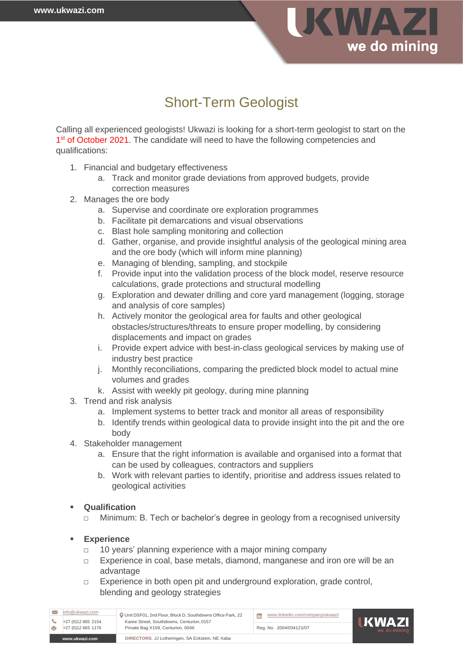

## Short-Term Geologist

Calling all experienced geologists! Ukwazi is looking for a short-term geologist to start on the 1<sup>st</sup> of October 2021. The candidate will need to have the following competencies and qualifications:

- 1. Financial and budgetary effectiveness
	- a. Track and monitor grade deviations from approved budgets, provide correction measures
- 2. Manages the ore body
	- a. Supervise and coordinate ore exploration programmes
	- b. Facilitate pit demarcations and visual observations
	- c. Blast hole sampling monitoring and collection
	- d. Gather, organise, and provide insightful analysis of the geological mining area and the ore body (which will inform mine planning)
	- e. Managing of blending, sampling, and stockpile
	- f. Provide input into the validation process of the block model, reserve resource calculations, grade protections and structural modelling
	- g. Exploration and dewater drilling and core yard management (logging, storage and analysis of core samples)
	- h. Actively monitor the geological area for faults and other geological obstacles/structures/threats to ensure proper modelling, by considering displacements and impact on grades
	- i. Provide expert advice with best-in-class geological services by making use of industry best practice
	- j. Monthly reconciliations, comparing the predicted block model to actual mine volumes and grades
	- k. Assist with weekly pit geology, during mine planning
- 3. Trend and risk analysis
	- a. Implement systems to better track and monitor all areas of responsibility
	- b. Identify trends within geological data to provide insight into the pit and the ore body
- 4. Stakeholder management
	- a. Ensure that the right information is available and organised into a format that can be used by colleagues, contractors and suppliers
	- b. Work with relevant parties to identify, prioritise and address issues related to geological activities

## **Qualification**

□ Minimum: B. Tech or bachelor's degree in geology from a recognised university

## ▪ **Experience**

- □ 10 years' planning experience with a major mining company
- □ Experience in coal, base metals, diamond, manganese and iron ore will be an advantage
- □ Experience in both open pit and underground exploration, grade control, blending and geology strategies

| +27 (0)12 665 1176<br>www.ukwazi.com | Unit DSF01, 2nd Floor, Block D, Southdowns Office Park, 22<br>Karee Street, Southdowns, Centurion, 0157<br>Private Bag X159, Centurion, 0046<br>DIRECTORS: JJ Lotheringen, SA Eckstein, NE Xaba | Reg. No. 2004/034121/07          | <b>UKWAZ</b><br>we do mini |
|--------------------------------------|-------------------------------------------------------------------------------------------------------------------------------------------------------------------------------------------------|----------------------------------|----------------------------|
| +27 (0) 12 665 2154                  |                                                                                                                                                                                                 | <b>in</b>                        |                            |
| info@ukwazi.com                      |                                                                                                                                                                                                 | www.linkedin.com/company/ukwazi/ |                            |